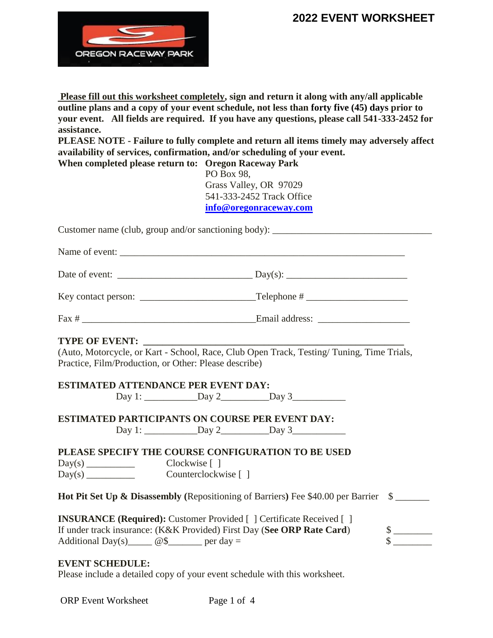

**Please fill out this worksheet completely, sign and return it along with any/all applicable outline plans and a copy of your event schedule, not less than forty five (45) days prior to your event. All fields are required. If you have any questions, please call 541-333-2452 for assistance.** 

**PLEASE NOTE - Failure to fully complete and return all items timely may adversely affect availability of services, confirmation, and/or scheduling of your event.**

**When completed please return to: Oregon Raceway Park** PO Box 98, Grass Valley, OR 97029 541-333-2452 Track Office **[info@oregonraceway.com](mailto:info@oregonraceway.com)**

Customer name (club, group and/or sanctioning body): \_\_\_\_\_\_\_\_\_\_\_\_\_\_\_\_\_\_\_\_\_\_\_\_\_\_\_

Name of event:

Date of event:  $\frac{1}{\sqrt{2\pi}}$  Day(s):  $\frac{1}{\sqrt{2\pi}}$  Day(s):  $\frac{1}{\sqrt{2\pi}}$ 

| Key contact person: | Telephone # |
|---------------------|-------------|
|                     |             |

Fax # \_\_\_\_\_\_\_\_\_\_\_\_\_\_\_\_\_\_\_\_\_\_\_\_\_\_\_\_\_\_\_\_\_\_\_\_Email address: \_\_\_\_\_\_\_\_\_\_\_\_\_\_\_\_\_\_\_

#### **TYPE OF EVENT:**

(Auto, Motorcycle, or Kart - School, Race, Club Open Track, Testing/ Tuning, Time Trials, Practice, Film/Production, or Other: Please describe)

#### **ESTIMATED ATTENDANCE PER EVENT DAY:**

Day 1: \_\_\_\_\_\_\_\_\_\_\_Day 2\_\_\_\_\_\_\_\_\_\_Day 3\_\_\_\_\_\_\_\_\_\_\_

**ESTIMATED PARTICIPANTS ON COURSE PER EVENT DAY:**  $Day 1:$   $Day 2$   $Day 3$ 

**PLEASE SPECIFY THE COURSE CONFIGURATION TO BE USED** 

Day(s) \_\_\_\_\_\_\_\_\_\_ Clockwise [ ]

Day(s) \_\_\_\_\_\_\_\_\_\_\_ Counterclockwise [ ]

**Hot Pit Set Up & Disassembly (Repositioning of Barriers) Fee \$40.00 per Barrier \$** 

| <b>INSURANCE (Required):</b> Customer Provided [] Certificate Received [] |  |
|---------------------------------------------------------------------------|--|
| If under track insurance: (K&K Provided) First Day (See ORP Rate Card)    |  |
| Additional Day(s) $@S$ per day =                                          |  |

#### **EVENT SCHEDULE:**

Please include a detailed copy of your event schedule with this worksheet.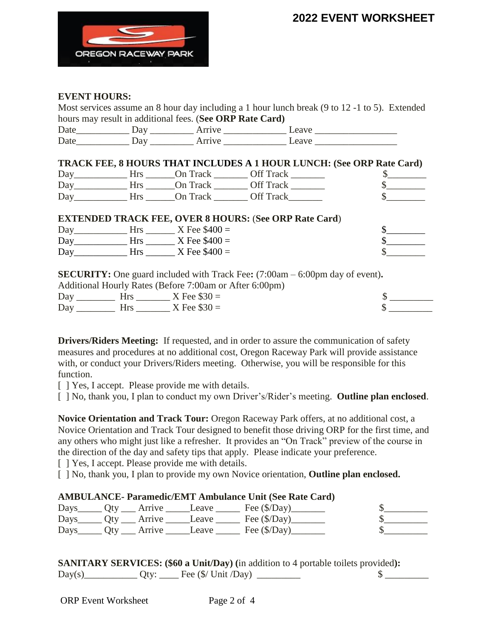

#### **EVENT HOURS:**

Most services assume an 8 hour day including a 1 hour lunch break (9 to 12 -1 to 5). Extended hours may result in additional fees. (**See ORP Rate Card)**

| $\overline{\phantom{0}}$<br>້ |           |  |
|-------------------------------|-----------|--|
| ⇁<br>້                        | _________ |  |

|     |         |          | <b>TRACK FEE, 8 HOURS THAT INCLUDES A 1 HOUR LUNCH: (See ORP Rate Card)</b> |  |
|-----|---------|----------|-----------------------------------------------------------------------------|--|
|     | Day Hrs |          | On Track Off Track                                                          |  |
| Day | Hrs.    | On Track | Off Track                                                                   |  |
| Day | Hrs.    | On Track | Off Track                                                                   |  |

| <b>EXTENDED TRACK FEE, OVER 8 HOURS: (See ORP Rate Card)</b> |  |  |
|--------------------------------------------------------------|--|--|
|--------------------------------------------------------------|--|--|

| Day | Hrs        | $X$ Fee $$400 =$ |  |
|-----|------------|------------------|--|
| Day | Hrs        | X Fee $$400 =$   |  |
| Day | <b>Hrs</b> | X Fee $$400 =$   |  |

**SECURITY:** One guard included with Track Fee**:** (7:00am – 6:00pm day of event)**.** 

| Additional Hourly Rates (Before 7:00am or After 6:00pm) |            |                  |  |  |
|---------------------------------------------------------|------------|------------------|--|--|
| Day                                                     | <b>Hrs</b> | $X$ Fee $\$30 =$ |  |  |
| Day                                                     | Hrs.       | $X$ Fee $\$30 =$ |  |  |

**Drivers/Riders Meeting:** If requested, and in order to assure the communication of safety measures and procedures at no additional cost, Oregon Raceway Park will provide assistance with, or conduct your Drivers/Riders meeting. Otherwise, you will be responsible for this function.

[  $\vert$  Yes, I accept. Please provide me with details.

[ ] No, thank you, I plan to conduct my own Driver's/Rider's meeting. **Outline plan enclosed**.

**Novice Orientation and Track Tour:** Oregon Raceway Park offers, at no additional cost, a Novice Orientation and Track Tour designed to benefit those driving ORP for the first time, and any others who might just like a refresher. It provides an "On Track" preview of the course in the direction of the day and safety tips that apply. Please indicate your preference.

[  $\vert$  Yes, I accept. Please provide me with details.

[ ] No, thank you, I plan to provide my own Novice orientation, **Outline plan enclosed.**

#### **AMBULANCE- Paramedic/EMT Ambulance Unit (See Rate Card)**

|  | Days________ Qty _____ Arrive ________Leave _ | $\epsilon$ Fee (\$/Day)                                                          |  |
|--|-----------------------------------------------|----------------------------------------------------------------------------------|--|
|  |                                               | Days $Qty$ Arrive Leave Fee $(\frac{f}{Day})$                                    |  |
|  |                                               | $_{\rm Days}$ $_{\rm Qty}$ $_{\rm Arrive}$ $_{\rm Leave}$ $_{\rm Free}$ (\$/Day) |  |

|        | <b>SANITARY SERVICES: (\$60 a Unit/Day)</b> (in addition to 4 portable toilets provided): |  |
|--------|-------------------------------------------------------------------------------------------|--|
| Day(s) | $Qty:$ Fee $(\frac{C}{V})$ Unit /Day)                                                     |  |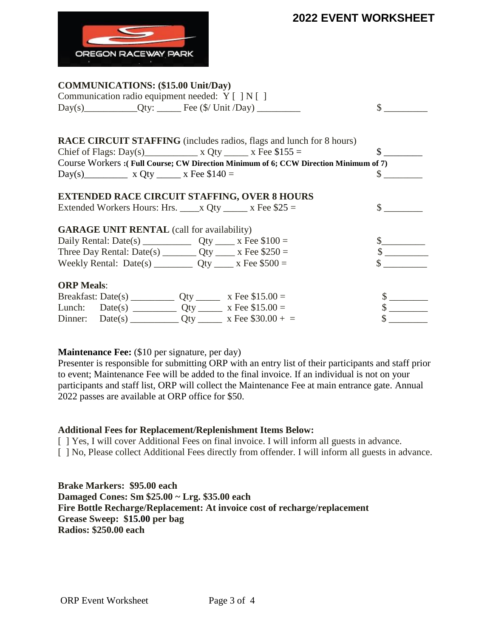

#### **COMMUNICATIONS: (\$15.00 Unit/Day)**

| Communication radio equipment needed: Y [ ] N [ ]                                     |                             |
|---------------------------------------------------------------------------------------|-----------------------------|
|                                                                                       | $\mathbb{S}$                |
|                                                                                       |                             |
| <b>RACE CIRCUIT STAFFING</b> (includes radios, flags and lunch for 8 hours)           |                             |
|                                                                                       | $\mathbb{S}$                |
| Course Workers : (Full Course; CW Direction Minimum of 6; CCW Direction Minimum of 7) |                             |
| Day(s) x Qty x Fee $$140 =$                                                           | $\mathbb{S}$                |
| <b>EXTENDED RACE CIRCUIT STAFFING, OVER 8 HOURS</b>                                   |                             |
| Extended Workers Hours: Hrs. _____ x Qty ______ x Fee $$25 =$                         | $\frac{\text{S}}{\text{S}}$ |
| <b>GARAGE UNIT RENTAL</b> (call for availability)                                     |                             |
|                                                                                       |                             |
|                                                                                       | $\frac{\text{S}}{\text{S}}$ |
|                                                                                       |                             |
| <b>ORP</b> Meals:                                                                     |                             |
|                                                                                       |                             |
|                                                                                       | $\frac{\text{S}}{\text{S}}$ |
|                                                                                       |                             |

#### **Maintenance Fee:** (\$10 per signature, per day)

Presenter is responsible for submitting ORP with an entry list of their participants and staff prior to event; Maintenance Fee will be added to the final invoice. If an individual is not on your participants and staff list, ORP will collect the Maintenance Fee at main entrance gate. Annual 2022 passes are available at ORP office for \$50.

#### **Additional Fees for Replacement/Replenishment Items Below:**

[ ] Yes, I will cover Additional Fees on final invoice. I will inform all guests in advance.

[ ] No, Please collect Additional Fees directly from offender. I will inform all guests in advance.

**Brake Markers: \$95.00 each Damaged Cones: Sm \$25.00 ~ Lrg. \$35.00 each Fire Bottle Recharge/Replacement: At invoice cost of recharge/replacement Grease Sweep: \$15.00 per bag Radios: \$250.00 each**